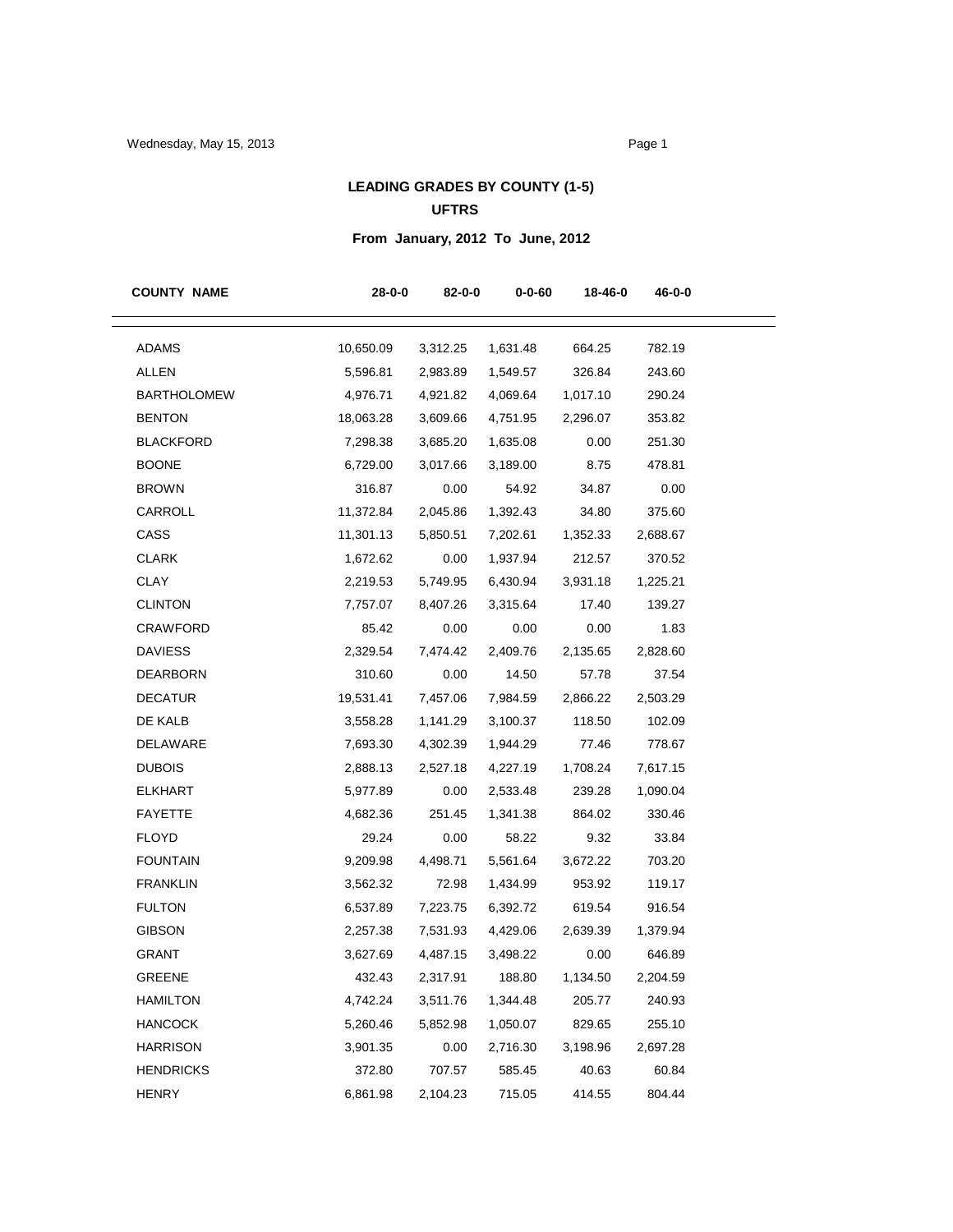## **LEADING GRADES BY COUNTY (1-5) UFTRS**

# **From January, 2012 To June, 2012**

| <b>COUNTY NAME</b> | $28 - 0 - 0$ | 82-0-0   | $0 - 0 - 60$ | 18-46-0  | 46-0-0   |
|--------------------|--------------|----------|--------------|----------|----------|
| <b>ADAMS</b>       | 10,650.09    | 3,312.25 | 1,631.48     | 664.25   | 782.19   |
| <b>ALLEN</b>       | 5,596.81     | 2,983.89 | 1,549.57     | 326.84   | 243.60   |
| <b>BARTHOLOMEW</b> | 4,976.71     | 4,921.82 | 4,069.64     | 1,017.10 | 290.24   |
| <b>BENTON</b>      | 18,063.28    | 3,609.66 | 4,751.95     | 2,296.07 | 353.82   |
| <b>BLACKFORD</b>   | 7,298.38     | 3,685.20 | 1,635.08     | 0.00     | 251.30   |
| <b>BOONE</b>       | 6,729.00     | 3,017.66 | 3,189.00     | 8.75     | 478.81   |
| <b>BROWN</b>       | 316.87       | 0.00     | 54.92        | 34.87    | 0.00     |
| CARROLL            | 11,372.84    | 2,045.86 | 1,392.43     | 34.80    | 375.60   |
| CASS               | 11,301.13    | 5,850.51 | 7,202.61     | 1,352.33 | 2,688.67 |
| <b>CLARK</b>       | 1,672.62     | 0.00     | 1,937.94     | 212.57   | 370.52   |
| CLAY               | 2,219.53     | 5,749.95 | 6,430.94     | 3,931.18 | 1,225.21 |
| <b>CLINTON</b>     | 7,757.07     | 8,407.26 | 3,315.64     | 17.40    | 139.27   |
| CRAWFORD           | 85.42        | 0.00     | 0.00         | 0.00     | 1.83     |
| <b>DAVIESS</b>     | 2,329.54     | 7,474.42 | 2,409.76     | 2,135.65 | 2,828.60 |
| <b>DEARBORN</b>    | 310.60       | 0.00     | 14.50        | 57.78    | 37.54    |
| <b>DECATUR</b>     | 19,531.41    | 7,457.06 | 7,984.59     | 2,866.22 | 2,503.29 |
| DE KALB            | 3,558.28     | 1,141.29 | 3,100.37     | 118.50   | 102.09   |
| DELAWARE           | 7,693.30     | 4,302.39 | 1,944.29     | 77.46    | 778.67   |
| <b>DUBOIS</b>      | 2,888.13     | 2,527.18 | 4,227.19     | 1,708.24 | 7,617.15 |
| <b>ELKHART</b>     | 5,977.89     | 0.00     | 2,533.48     | 239.28   | 1,090.04 |
| <b>FAYETTE</b>     | 4,682.36     | 251.45   | 1,341.38     | 864.02   | 330.46   |
| <b>FLOYD</b>       | 29.24        | 0.00     | 58.22        | 9.32     | 33.84    |
| <b>FOUNTAIN</b>    | 9,209.98     | 4,498.71 | 5,561.64     | 3,672.22 | 703.20   |
| <b>FRANKLIN</b>    | 3,562.32     | 72.98    | 1,434.99     | 953.92   | 119.17   |
| <b>FULTON</b>      | 6,537.89     | 7,223.75 | 6,392.72     | 619.54   | 916.54   |
| <b>GIBSON</b>      | 2,257.38     | 7,531.93 | 4,429.06     | 2,639.39 | 1,379.94 |
| <b>GRANT</b>       | 3,627.69     | 4,487.15 | 3,498.22     | 0.00     | 646.89   |
| GREENE             | 432.43       | 2,317.91 | 188.80       | 1,134.50 | 2,204.59 |
| <b>HAMILTON</b>    | 4,742.24     | 3,511.76 | 1,344.48     | 205.77   | 240.93   |
| <b>HANCOCK</b>     | 5,260.46     | 5,852.98 | 1,050.07     | 829.65   | 255.10   |
| <b>HARRISON</b>    | 3,901.35     | 0.00     | 2,716.30     | 3,198.96 | 2,697.28 |
| <b>HENDRICKS</b>   | 372.80       | 707.57   | 585.45       | 40.63    | 60.84    |
| <b>HENRY</b>       | 6,861.98     | 2,104.23 | 715.05       | 414.55   | 804.44   |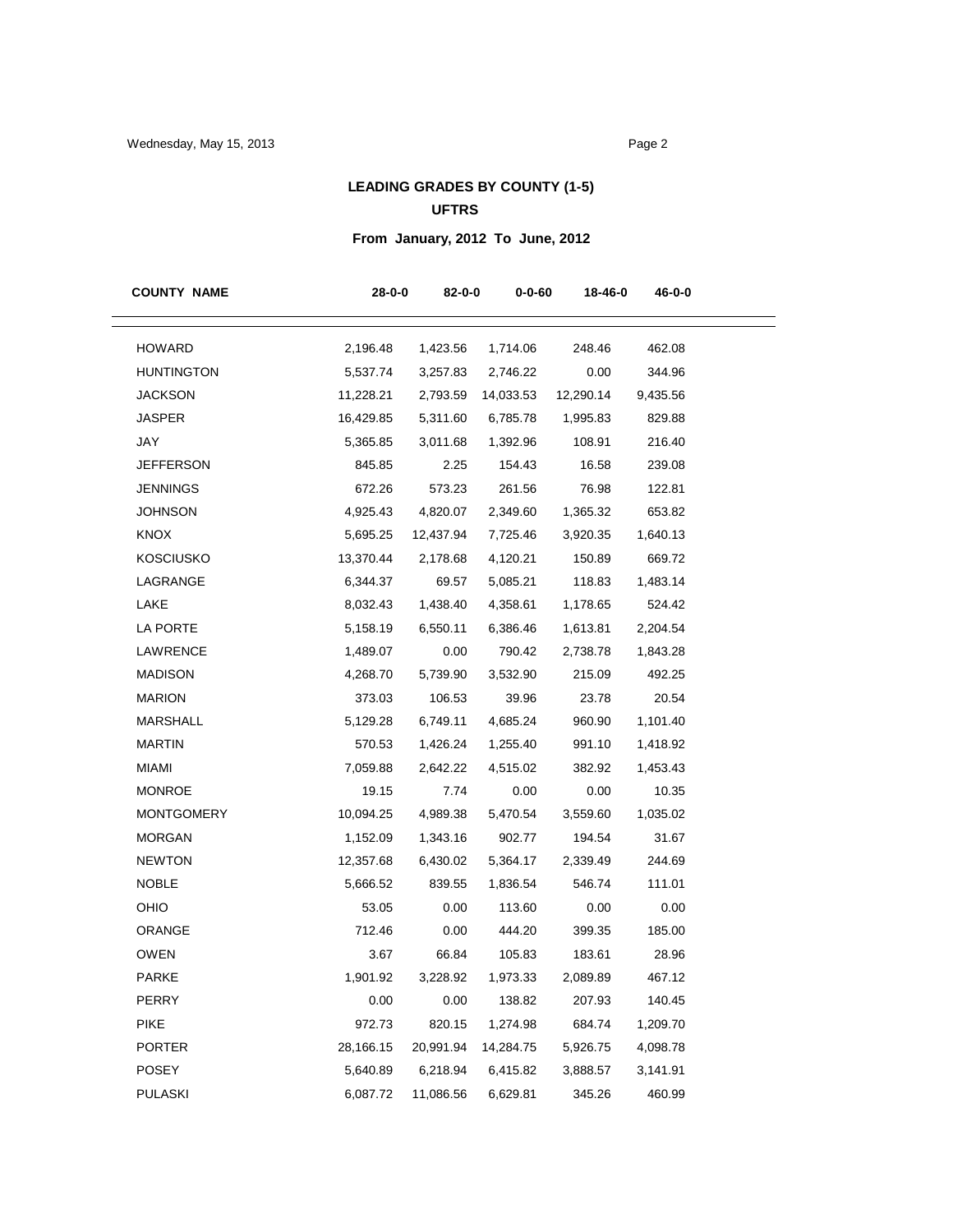## **LEADING GRADES BY COUNTY (1-5) UFTRS**

# **From January, 2012 To June, 2012**

| <b>COUNTY NAME</b> | $28 - 0 - 0$ | 82-0-0    | $0 - 0 - 60$ | 18-46-0   | 46-0-0   |
|--------------------|--------------|-----------|--------------|-----------|----------|
| <b>HOWARD</b>      | 2,196.48     | 1,423.56  | 1,714.06     | 248.46    | 462.08   |
| <b>HUNTINGTON</b>  | 5,537.74     | 3,257.83  | 2,746.22     | 0.00      | 344.96   |
| <b>JACKSON</b>     | 11,228.21    | 2,793.59  | 14,033.53    | 12,290.14 | 9,435.56 |
| <b>JASPER</b>      | 16,429.85    | 5,311.60  | 6,785.78     | 1,995.83  | 829.88   |
| JAY                | 5,365.85     | 3,011.68  | 1,392.96     | 108.91    | 216.40   |
| <b>JEFFERSON</b>   | 845.85       | 2.25      | 154.43       | 16.58     | 239.08   |
| <b>JENNINGS</b>    | 672.26       | 573.23    | 261.56       | 76.98     | 122.81   |
| <b>JOHNSON</b>     | 4,925.43     | 4,820.07  | 2,349.60     | 1,365.32  | 653.82   |
| <b>KNOX</b>        | 5,695.25     | 12,437.94 | 7,725.46     | 3,920.35  | 1,640.13 |
| <b>KOSCIUSKO</b>   | 13,370.44    | 2,178.68  | 4,120.21     | 150.89    | 669.72   |
| LAGRANGE           | 6,344.37     | 69.57     | 5,085.21     | 118.83    | 1,483.14 |
| LAKE               | 8,032.43     | 1,438.40  | 4,358.61     | 1,178.65  | 524.42   |
| LA PORTE           | 5,158.19     | 6,550.11  | 6,386.46     | 1,613.81  | 2,204.54 |
| <b>LAWRENCE</b>    | 1,489.07     | 0.00      | 790.42       | 2,738.78  | 1,843.28 |
| <b>MADISON</b>     | 4,268.70     | 5,739.90  | 3,532.90     | 215.09    | 492.25   |
| <b>MARION</b>      | 373.03       | 106.53    | 39.96        | 23.78     | 20.54    |
| MARSHALL           | 5,129.28     | 6,749.11  | 4,685.24     | 960.90    | 1,101.40 |
| <b>MARTIN</b>      | 570.53       | 1,426.24  | 1,255.40     | 991.10    | 1,418.92 |
| <b>MIAMI</b>       | 7,059.88     | 2,642.22  | 4,515.02     | 382.92    | 1,453.43 |
| <b>MONROE</b>      | 19.15        | 7.74      | 0.00         | 0.00      | 10.35    |
| <b>MONTGOMERY</b>  | 10,094.25    | 4,989.38  | 5,470.54     | 3,559.60  | 1,035.02 |
| <b>MORGAN</b>      | 1,152.09     | 1,343.16  | 902.77       | 194.54    | 31.67    |
| <b>NEWTON</b>      | 12,357.68    | 6,430.02  | 5,364.17     | 2,339.49  | 244.69   |
| <b>NOBLE</b>       | 5,666.52     | 839.55    | 1,836.54     | 546.74    | 111.01   |
| OHIO               | 53.05        | 0.00      | 113.60       | 0.00      | 0.00     |
| ORANGE             | 712.46       | 0.00      | 444.20       | 399.35    | 185.00   |
| <b>OWEN</b>        | 3.67         | 66.84     | 105.83       | 183.61    | 28.96    |
| PARKE              | 1,901.92     | 3,228.92  | 1,973.33     | 2,089.89  | 467.12   |
| <b>PERRY</b>       | 0.00         | 0.00      | 138.82       | 207.93    | 140.45   |
| <b>PIKE</b>        | 972.73       | 820.15    | 1,274.98     | 684.74    | 1,209.70 |
| <b>PORTER</b>      | 28,166.15    | 20,991.94 | 14,284.75    | 5,926.75  | 4,098.78 |
| POSEY              | 5,640.89     | 6,218.94  | 6,415.82     | 3,888.57  | 3,141.91 |
| <b>PULASKI</b>     | 6,087.72     | 11,086.56 | 6,629.81     | 345.26    | 460.99   |